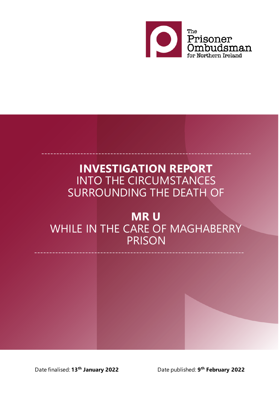

# **INVESTIGATION REPORT** INTO THE CIRCUMSTANCES SURROUNDING THE DEATH OF

----------------------------------------------------------------------

# **MR U** WHILE IN THE CARE OF MAGHABERRY **PRISON**

----------------------------------------------------------------------

Date finalised: **13th January 2022** Date published: **9th February 2022**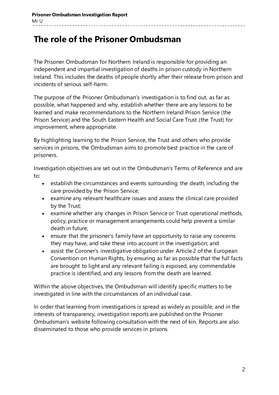# **The role of the Prisoner Ombudsman**

The Prisoner Ombudsman for Northern Ireland is responsible for providing an independent and impartial investigation of deaths in prison custody in Northern Ireland. This includes the deaths of people shortly after their release from prison and incidents of serious self-harm.

The purpose of the Prisoner Ombudsman's investigation is to find out, as far as possible, what happened and why, establish whether there are any lessons to be learned and make recommendations to the Northern Ireland Prison Service (the Prison Service) and the South Eastern Health and Social Care Trust (the Trust) for improvement, where appropriate.

By highlighting learning to the Prison Service, the Trust and others who provide services in prisons, the Ombudsman aims to promote best practice in the care of prisoners.

Investigation objectives are set out in the Ombudsman's Terms of Reference and are to:

- establish the circumstances and events surrounding the death, including the care provided by the Prison Service;
- examine any relevant healthcare issues and assess the clinical care provided by the Trust;
- examine whether any changes in Prison Service or Trust operational methods, policy, practice or management arrangements could help prevent a similar death in future;
- ensure that the prisoner's family have an opportunity to raise any concerns they may have, and take these into account in the investigation; and
- assist the Coroner's investigative obligation under Article 2 of the European Convention on Human Rights, by ensuring as far as possible that the full facts are brought to light and any relevant failing is exposed, any commendable practice is identified, and any lessons from the death are learned.

Within the above objectives, the Ombudsman will identify specific matters to be investigated in line with the circumstances of an individual case.

In order that learning from investigations is spread as widely as possible, and in the interests of transparency, investigation reports are published on the Prisoner Ombudsman's website following consultation with the next of kin. Reports are also disseminated to those who provide services in prisons.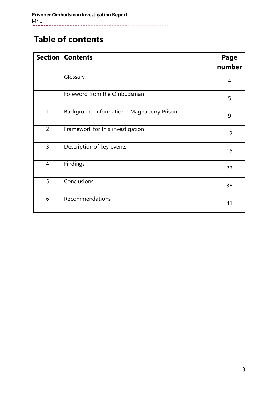# **Table of contents**

|                | <b>Section   Contents</b>                  | Page   |
|----------------|--------------------------------------------|--------|
|                |                                            | number |
|                | Glossary                                   | 4      |
|                | Foreword from the Ombudsman                | 5      |
| $\mathbf{1}$   | Background information - Maghaberry Prison | 9      |
| $\overline{2}$ | Framework for this investigation           | 12     |
| $\overline{3}$ | Description of key events                  | 15     |
| $\overline{4}$ | Findings                                   | 22     |
| 5              | Conclusions                                | 38     |
| 6              | Recommendations                            | 41     |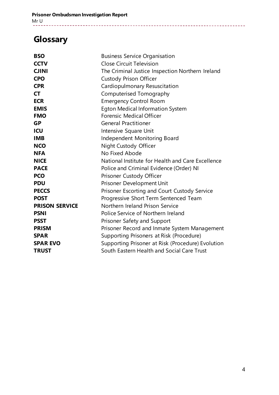# **Glossary**

| <b>BSO</b>            | <b>Business Service Organisation</b>              |
|-----------------------|---------------------------------------------------|
| <b>CCTV</b>           | Close Circuit Television                          |
| <b>CJINI</b>          | The Criminal Justice Inspection Northern Ireland  |
| <b>CPO</b>            | <b>Custody Prison Officer</b>                     |
| <b>CPR</b>            | Cardiopulmonary Resuscitation                     |
| <b>CT</b>             | Computerised Tomography                           |
| <b>ECR</b>            | <b>Emergency Control Room</b>                     |
| <b>EMIS</b>           | <b>Egton Medical Information System</b>           |
| <b>FMO</b>            | <b>Forensic Medical Officer</b>                   |
| <b>GP</b>             | <b>General Practitioner</b>                       |
| ICU                   | Intensive Square Unit                             |
| <b>IMB</b>            | Independent Monitoring Board                      |
| <b>NCO</b>            | Night Custody Officer                             |
| <b>NFA</b>            | No Fixed Abode                                    |
| <b>NICE</b>           | National Institute for Health and Care Excellence |
| <b>PACE</b>           | Police and Criminal Evidence (Order) NI           |
| <b>PCO</b>            | Prisoner Custody Officer                          |
| <b>PDU</b>            | Prisoner Development Unit                         |
| <b>PECCS</b>          | Prisoner Escorting and Court Custody Service      |
| <b>POST</b>           | Progressive Short Term Sentenced Team             |
| <b>PRISON SERVICE</b> | Northern Ireland Prison Service                   |
| <b>PSNI</b>           | Police Service of Northern Ireland                |
| <b>PSST</b>           | Prisoner Safety and Support                       |
| <b>PRISM</b>          | Prisoner Record and Inmate System Management      |
| <b>SPAR</b>           | Supporting Prisoners at Risk (Procedure)          |
| <b>SPAR EVO</b>       | Supporting Prisoner at Risk (Procedure) Evolution |
| <b>TRUST</b>          | South Eastern Health and Social Care Trust        |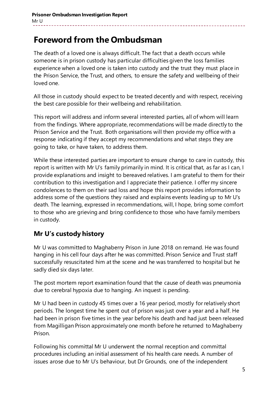# **Foreword from the Ombudsman**

The death of a loved one is always difficult. The fact that a death occurs while someone is in prison custody has particular difficulties given the loss families experience when a loved one is taken into custody and the trust they must place in the Prison Service, the Trust, and others, to ensure the safety and wellbeing of their loved one.

All those in custody should expect to be treated decently and with respect, receiving the best care possible for their wellbeing and rehabilitation.

This report will address and inform several interested parties, all of whom will learn from the findings. Where appropriate, recommendations will be made directly to the Prison Service and the Trust. Both organisations will then provide my office with a response indicating if they accept my recommendations and what steps they are going to take, or have taken, to address them.

While these interested parties are important to ensure change to care in custody, this report is written with Mr U's family primarily in mind. It is critical that, as far as I can, I provide explanations and insight to bereaved relatives. I am grateful to them for their contribution to this investigation and I appreciate their patience. I offer my sincere condolences to them on their sad loss and hope this report provides information to address some of the questions they raised and explains events leading up to Mr U's death. The learning, expressed in recommendations, will, I hope, bring some comfort to those who are grieving and bring confidence to those who have family members in custody.

### **Mr U's custody history**

Mr U was committed to Maghaberry Prison in June 2018 on remand. He was found hanging in his cell four days after he was committed. Prison Service and Trust staff successfully resuscitated him at the scene and he was transferred to hospital but he sadly died six days later.

The post mortem report examination found that the cause of death was pneumonia due to cerebral hypoxia due to hanging. An inquest is pending.

Mr U had been in custody 45 times over a 16 year period, mostly for relatively short periods. The longest time he spent out of prison was just over a year and a half. He had been in prison five times in the year before his death and had just been released from Magilligan Prison approximately one month before he returned to Maghaberry Prison.

Following his committal Mr U underwent the normal reception and committal procedures including an initial assessment of his health care needs. A number of issues arose due to Mr U's behaviour, but Dr Grounds, one of the independent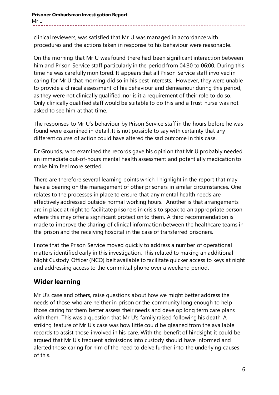clinical reviewers, was satisfied that Mr U was managed in accordance with procedures and the actions taken in response to his behaviour were reasonable.

On the morning that Mr U was found there had been significant interaction between him and Prison Service staff particularly in the period from 04:30 to 06:00. During this time he was carefully monitored. It appears that all Prison Service staff involved in caring for Mr U that morning did so in his best interests. However, they were unable to provide a clinical assessment of his behaviour and demeanour during this period, as they were not clinically qualified, nor is it a requirement of their role to do so. Only clinically qualified staff would be suitable to do this and a Trust nurse was not asked to see him at that time.

The responses to Mr U's behaviour by Prison Service staff in the hours before he was found were examined in detail. It is not possible to say with certainty that any different course of action could have altered the sad outcome in this case.

Dr Grounds, who examined the records gave his opinion that Mr U probably needed an immediate out-of-hours mental health assessment and potentially medication to make him feel more settled.

There are therefore several learning points which I highlight in the report that may have a bearing on the management of other prisoners in similar circumstances. One relates to the processes in place to ensure that any mental health needs are effectively addressed outside normal working hours. Another is that arrangements are in place at night to facilitate prisoners in crisis to speak to an appropriate person where this may offer a significant protection to them. A third recommendation is made to improve the sharing of clinical information between the healthcare teams in the prison and the receiving hospital in the case of transferred prisoners.

I note that the Prison Service moved quickly to address a number of operational matters identified early in this investigation. This related to making an additional Night Custody Officer (NCO) belt available to facilitate quicker access to keys at night and addressing access to the committal phone over a weekend period.

# **Wider learning**

Mr U's case and others, raise questions about how we might better address the needs of those who are neither in prison or the community long enough to help those caring for them better assess their needs and develop long term care plans with them. This was a question that Mr U's family raised following his death. A striking feature of Mr U's case was how little could be gleaned from the available records to assist those involved in his care. With the benefit of hindsight it could be argued that Mr U's frequent admissions into custody should have informed and alerted those caring for him of the need to delve further into the underlying causes of this.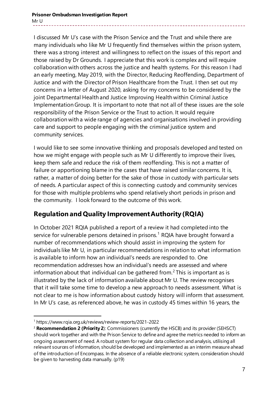**Prisoner Ombudsman Investigation Report** Mr U

I discussed Mr U's case with the Prison Service and the Trust and while there are many individuals who like Mr U frequently find themselves within the prison system, there was a strong interest and willingness to reflect on the issues of this report and those raised by Dr Grounds. I appreciate that this work is complex and will require collaboration with others across the justice and health systems. For this reason I had an early meeting, May 2019, with the Director, Reducing Reoffending, Department of Justice and with the Director of Prison Healthcare from the Trust. I then set out my concerns in a letter of August 2020, asking for my concerns to be considered by the joint Departmental Health and Justice Improving Health within Criminal Justice Implementation Group. It is important to note that not all of these issues are the sole responsibility of the Prison Service or the Trust to action. It would require collaboration with a wide range of agencies and organisations involved in providing care and support to people engaging with the criminal justice system and community services.

I would like to see some innovative thinking and proposals developed and tested on how we might engage with people such as Mr U differently to improve their lives, keep them safe and reduce the risk of them reoffending. This is not a matter of failure or apportioning blame in the cases that have raised similar concerns. It is, rather, a matter of doing better for the sake of those in custody with particular sets of needs. A particular aspect of this is connecting custody and community services for those with multiple problems who spend relatively short periods in prison and the community. I look forward to the outcome of this work.

### **Regulation and Quality Improvement Authority (RQIA)**

In October 2021 RQIA published a report of a review it had completed into the service for vulnerable persons detained in prisons.<sup>[1](#page-6-0)</sup> RQIA have brought forward a number of recommendations which should assist in improving the system for individuals like Mr U, in particular recommendations in relation to what information is available to inform how an individual's needs are responded to. One recommendation addresses how an individual's needs are assessed and where information about that individual can be gathered from.<sup>[2](#page-6-1)</sup> This is important as is illustrated by the lack of information available about Mr U. The review recognises that it will take some time to develop a new approach to needs assessment. What is not clear to me is how information about custody history will inform that assessment. In Mr U's case, as referenced above, he was in custody 45 times within 16 years, the

-

<span id="page-6-0"></span><sup>1</sup> https://www.rqia.org.uk/reviews/review-reports/2021-2022

<span id="page-6-1"></span><sup>2</sup> **Recommendation 2 (Priority 2**): Commissioners (currently the HSCB) and its provider (SEHSCT) should work together and with the Prison Service to define and agree the metrics needed to inform an ongoing assessment of need. A robust system for regular data collection and analysis, utilising all relevant sources of information, should be developed and implemented as an interim measure ahead of the introduction of Encompass. In the absence of a reliable electronic system, consideration should be given to harvesting data manually. (p19)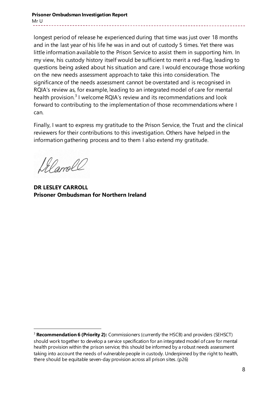#### **Prisoner Ombudsman Investigation Report** Mr U

longest period of release he experienced during that time was just over 18 months and in the last year of his life he was in and out of custody 5 times. Yet there was little information available to the Prison Service to assist them in supporting him. In my view, his custody history itself would be sufficient to merit a red-flag, leading to questions being asked about his situation and care. I would encourage those working on the new needs assessment approach to take this into consideration. The significance of the needs assessment cannot be overstated and is recognised in RQIA's review as, for example, leading to an integrated model of care for mental health provision.<sup>[3](#page-7-0)</sup> I welcome RQIA's review and its recommendations and look forward to contributing to the implementation of those recommendations where I can.

Finally, I want to express my gratitude to the Prison Service, the Trust and the clinical reviewers for their contributions to this investigation. Others have helped in the information gathering process and to them I also extend my gratitude.

Lel amoll

-

**DR LESLEY CARROLL Prisoner Ombudsman for Northern Ireland**

<span id="page-7-0"></span><sup>&</sup>lt;sup>3</sup> **Recommendation 6 (Priority 2):** Commissioners (currently the HSCB) and providers (SEHSCT) should work together to develop a service specification for an integrated model of care for mental health provision within the prison service; this should be informed by a robust needs assessment taking into account the needs of vulnerable people in custody. Underpinned by the right to health, there should be equitable seven-day provision across all prison sites. (p26)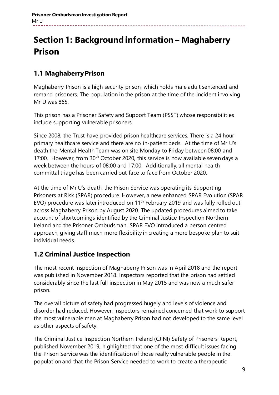# **Section 1: Background information – Maghaberry Prison**

# **1.1 Maghaberry Prison**

Maghaberry Prison is a high security prison, which holds male adult sentenced and remand prisoners. The population in the prison at the time of the incident involving Mr U was 865.

This prison has a Prisoner Safety and Support Team (PSST) whose responsibilities include supporting vulnerable prisoners.

Since 2008, the Trust have provided prison healthcare services. There is a 24 hour primary healthcare service and there are no in-patient beds. At the time of Mr U's death the Mental Health Team was on site Monday to Friday between 08:00 and 17:00. However, from  $30<sup>th</sup>$  October 2020, this service is now available seven days a week between the hours of 08:00 and 17:00. Additionally, all mental health committal triage has been carried out face to face from October 2020.

At the time of Mr U's death, the Prison Service was operating its Supporting Prisoners at Risk (SPAR) procedure. However, a new enhanced SPAR Evolution (SPAR EVO) procedure was later introduced on  $11<sup>th</sup>$  February 2019 and was fully rolled out across Maghaberry Prison by August 2020. The updated procedures aimed to take account of shortcomings identified by the Criminal Justice Inspection Northern Ireland and the Prisoner Ombudsman. SPAR EVO introduced a person centred approach, giving staff much more flexibility in creating a more bespoke plan to suit individual needs.

# **1.2 Criminal Justice Inspection**

The most recent inspection of Maghaberry Prison was in April 2018 and the report was published in November 2018. Inspectors reported that the prison had settled considerably since the last full inspection in May 2015 and was now a much safer prison.

The overall picture of safety had progressed hugely and levels of violence and disorder had reduced. However, Inspectors remained concerned that work to support the most vulnerable men at Maghaberry Prison had not developed to the same level as other aspects of safety.

The Criminal Justice Inspection Northern Ireland (CJINI) Safety of Prisoners Report, published November 2019, highlighted that one of the most difficult issues facing the Prison Service was the identification of those really vulnerable people in the population and that the Prison Service needed to work to create a therapeutic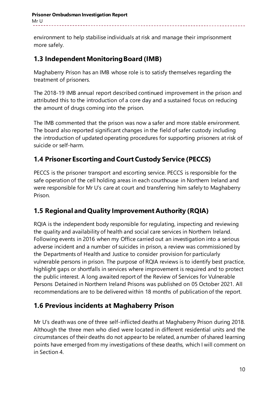environment to help stabilise individuals at risk and manage their imprisonment more safely.

# **1.3 Independent Monitoring Board (IMB)**

Maghaberry Prison has an IMB whose role is to satisfy themselves regarding the treatment of prisoners.

The 2018-19 IMB annual report described continued improvement in the prison and attributed this to the introduction of a core day and a sustained focus on reducing the amount of drugs coming into the prison.

The IMB commented that the prison was now a safer and more stable environment. The board also reported significant changes in the field of safer custody including the introduction of updated operating procedures for supporting prisoners at risk of suicide or self-harm.

# **1.4 Prisoner Escorting and Court Custody Service (PECCS)**

PECCS is the prisoner transport and escorting service. PECCS is responsible for the safe operation of the cell holding areas in each courthouse in Northern Ireland and were responsible for Mr U's care at court and transferring him safely to Maghaberry Prison.

# **1.5 Regional and Quality Improvement Authority (RQIA)**

RQIA is the independent body responsible for regulating, inspecting and reviewing the quality and availability of health and social care services in Northern Ireland. Following events in 2016 when my Office carried out an investigation into a serious adverse incident and a number of suicides in prison, a review was commissioned by the Departments of Health and Justice to consider provision for particularly vulnerable persons in prison. The purpose of RQIA reviews is to identify best practice, highlight gaps or shortfalls in services where improvement is required and to protect the public interest. A long awaited report of the Review of Services for Vulnerable Persons Detained in Northern Ireland Prisons was published on 05 October 2021. All recommendations are to be delivered within 18 months of publication of the report.

# **1.6 Previous incidents at Maghaberry Prison**

Mr U's death was one of three self-inflicted deaths at Maghaberry Prison during 2018. Although the three men who died were located in different residential units and the circumstances of their deaths do not appear to be related, a number of shared learning points have emerged from my investigations of these deaths, which I will comment on in Section 4.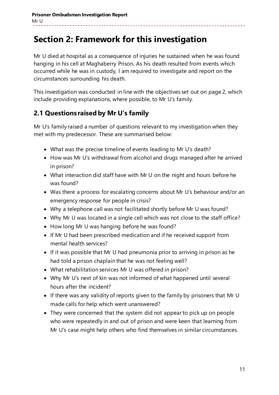# **Section 2: Framework for this investigation**

Mr U died at hospital as a consequence of injuries he sustained when he was found hanging in his cell at Maghaberry Prison. As his death resulted from events which occurred while he was in custody, I am required to investigate and report on the circumstances surrounding his death.

This investigation was conducted in line with the objectives set out on page 2, which include providing explanations, where possible, to Mr U's family.

# **2.1 Questions raised by Mr U's family**

Mr U's family raised a number of questions relevant to my investigation when they met with my predecessor. These are summarised below:

- What was the precise timeline of events leading to Mr U's death?
- How was Mr U's withdrawal from alcohol and drugs managed after he arrived in prison?
- What interaction did staff have with Mr U on the night and hours before he was found?
- Was there a process for escalating concerns about Mr U's behaviour and/or an emergency response for people in crisis?
- Why a telephone call was not facilitated shortly before Mr U was found?
- Why Mr U was located in a single cell which was not close to the staff office?
- How long Mr U was hanging before he was found?
- If Mr U had been prescribed medication and if he received support from mental health services?
- If it was possible that Mr U had pneumonia prior to arriving in prison as he had told a prison chaplain that he was not feeling well?
- What rehabilitation services Mr U was offered in prison?
- Why Mr U's next of kin was not informed of what happened until several hours after the incident?
- If there was any validity of reports given to the family by prisoners that Mr U made calls for help which went unanswered?
- They were concerned that the system did not appear to pick up on people who were repeatedly in and out of prison and were keen that learning from Mr U's case might help others who find themselves in similar circumstances.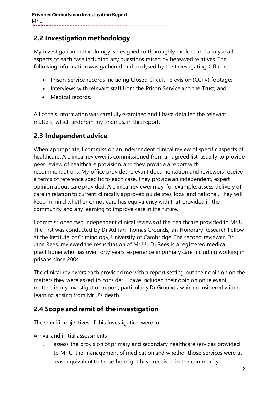# **2.2 Investigation methodology**

My investigation methodology is designed to thoroughly explore and analyse all aspects of each case including any questions raised by bereaved relatives. The following information was gathered and analysed by the Investigating Officer:

- Prison Service records including Closed Circuit Television (CCTV) footage;
- Interviews with relevant staff from the Prison Service and the Trust; and
- Medical records.

All of this information was carefully examined and I have detailed the relevant matters, which underpin my findings, in this report.

# **2.3 Independent advice**

When appropriate, I commission an independent clinical review of specific aspects of healthcare. A clinical reviewer is commissioned from an agreed list, usually to provide peer review of healthcare provision, and they provide a report with recommendations. My office provides relevant documentation and reviewers receive a terms of reference specific to each case. They provide an independent, expert opinion about care provided. A clinical reviewer may, for example, assess delivery of care in relation to current clinically approved guidelines, local and national. They will keep in mind whether or not care has equivalency with that provided in the community and any learning to improve care in the future.

I commissioned two independent clinical reviews of the healthcare provided to Mr U. The first was conducted by Dr Adrian Thomas Grounds, an Honorary Research Fellow at the Institute of Criminology, University of Cambridge. The second reviewer, Dr Jane Rees, reviewed the resuscitation of Mr U. Dr Rees is a registered medical practitioner who has over forty years' experience in primary care including working in prisons since 2004.

The clinical reviewers each provided me with a report setting out their opinion on the matters they were asked to consider. I have included their opinion on relevant matters in my investigation report, particularly Dr Grounds which considered wider learning arising from Mr U's death.

### **2.4 Scope and remit of the investigation**

The specific objectives of this investigation were to:

Arrival and initial assessments

i. assess the provision of primary and secondary healthcare services provided to Mr U, the management of medication and whether those services were at least equivalent to those he might have received in the community;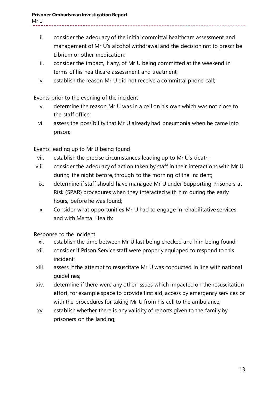- ii. consider the adequacy of the initial committal healthcare assessment and management of Mr U's alcohol withdrawal and the decision not to prescribe Librium or other medication;
- iii. consider the impact, if any, of Mr U being committed at the weekend in terms of his healthcare assessment and treatment;
- iv. establish the reason Mr U did not receive a committal phone call;

Events prior to the evening of the incident

- v. determine the reason Mr U was in a cell on his own which was not close to the staff office;
- vi. assess the possibility that Mr U already had pneumonia when he came into prison;

Events leading up to Mr U being found

- vii. establish the precise circumstances leading up to Mr U's death;
- viii. consider the adequacy of action taken by staff in their interactions with Mr U during the night before, through to the morning of the incident;
	- ix. determine if staff should have managed Mr U under Supporting Prisoners at Risk (SPAR) procedures when they interacted with him during the early hours, before he was found;
	- x. Consider what opportunities Mr U had to engage in rehabilitative services and with Mental Health;

Response to the incident

- xi. establish the time between Mr U last being checked and him being found;
- xii. consider if Prison Service staff were properly equipped to respond to this incident;
- xiii. assess if the attempt to resuscitate Mr U was conducted in line with national guidelines;
- xiv. determine if there were any other issues which impacted on the resuscitation effort, for example space to provide first aid, access by emergency services or with the procedures for taking Mr U from his cell to the ambulance;
- xv. establish whether there is any validity of reports given to the family by prisoners on the landing;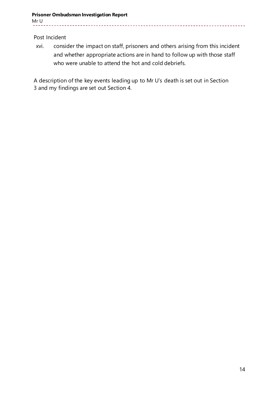Post Incident

xvi. consider the impact on staff, prisoners and others arising from this incident and whether appropriate actions are in hand to follow up with those staff who were unable to attend the hot and cold debriefs.

A description of the key events leading up to Mr U's death is set out in Section 3 and my findings are set out Section 4.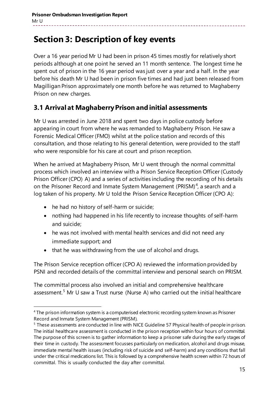# **Section 3: Description of key events**

Over a 16 year period Mr U had been in prison 45 times mostly for relatively short periods although at one point he served an 11 month sentence. The longest time he spent out of prison in the 16 year period was just over a year and a half. In the year before his death Mr U had been in prison five times and had just been released from Magilligan Prison approximately one month before he was returned to Maghaberry Prison on new charges.

### **3.1 Arrival at Maghaberry Prison and initial assessments**

Mr U was arrested in June 2018 and spent two days in police custody before appearing in court from where he was remanded to Maghaberry Prison. He saw a Forensic Medical Officer (FMO) whilst at the police station and records of this consultation, and those relating to his general detention, were provided to the staff who were responsible for his care at court and prison reception.

When he arrived at Maghaberry Prison, Mr U went through the normal committal process which involved an interview with a Prison Service Reception Officer (Custody Prison Officer (CPO) A) and a series of activities including the recording of his details on the Prisoner Record and Inmate System Management (PRISM)<sup>[4](#page-14-0)</sup>, a search and a log taken of his property. Mr U told the Prison Service Reception Officer (CPO A):

• he had no history of self-harm or suicide;

-

- nothing had happened in his life recently to increase thoughts of self-harm and suicide;
- he was not involved with mental health services and did not need any immediate support; and
- that he was withdrawing from the use of alcohol and drugs.

The Prison Service reception officer (CPO A) reviewed the information provided by PSNI and recorded details of the committal interview and personal search on PRISM.

The committal process also involved an initial and comprehensive healthcare assessment.<sup>[5](#page-14-1)</sup> Mr U saw a Trust nurse (Nurse A) who carried out the initial healthcare

<span id="page-14-0"></span><sup>&</sup>lt;sup>4</sup> The prison information system is a computerised electronic recording system known as Prisoner Record and Inmate System Management (PRISM).

<span id="page-14-1"></span><sup>5</sup> These assessments are conducted in line with NICE Guideline 57 Physical health of people in prison. The initial healthcare assessment is conducted in the prison reception within four hours of committal. The purpose of this screen is to gather information to keep a prisoner safe during the early stages of their time in custody. The assessment focusses particularly on medication, alcohol and drugs misuse, immediate mental health issues (including risk of suicide and self-harm) and any conditions that fall under the critical medications list. This is followed by a comprehensive health screen within 72 hours of committal. This is usually conducted the day after committal.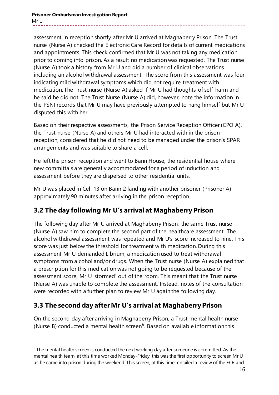assessment in reception shortly after Mr U arrived at Maghaberry Prison. The Trust nurse (Nurse A) checked the Electronic Care Record for details of current medications and appointments. This check confirmed that Mr U was not taking any medication prior to coming into prison. As a result no medication was requested. The Trust nurse (Nurse A) took a history from Mr U and did a number of clinical observations including an alcohol withdrawal assessment. The score from this assessment was four indicating mild withdrawal symptoms which did not require treatment with medication. The Trust nurse (Nurse A) asked if Mr U had thoughts of self-harm and he said he did not. The Trust Nurse (Nurse A) did, however, note the information in the PSNI records that Mr U may have previously attempted to hang himself but Mr U disputed this with her.

Based on their respective assessments, the Prison Service Reception Officer (CPO A), the Trust nurse (Nurse A) and others Mr U had interacted with in the prison reception, considered that he did not need to be managed under the prison's SPAR arrangements and was suitable to share a cell.

He left the prison reception and went to Bann House, the residential house where new committals are generally accommodated for a period of induction and assessment before they are dispersed to other residential units.

Mr U was placed in Cell 13 on Bann 2 landing with another prisoner (Prisoner A) approximately 90 minutes after arriving in the prison reception.

### **3.2 The day following Mr U's arrival at Maghaberry Prison**

The following day after Mr U arrived at Maghaberry Prison, the same Trust nurse (Nurse A) saw him to complete the second part of the healthcare assessment. The alcohol withdrawal assessment was repeated and Mr U's score increased to nine. This score was just below the threshold for treatment with medication. During this assessment Mr U demanded Librium, a medication used to treat withdrawal symptoms from alcohol and/or drugs. When the Trust nurse (Nurse A) explained that a prescription for this medication was not going to be requested because of the assessment score, Mr U 'stormed' out of the room. This meant that the Trust nurse (Nurse A) was unable to complete the assessment. Instead, notes of the consultation were recorded with a further plan to review Mr U again the following day.

# **3.3 The second day after Mr U's arrival at MaghaberryPrison**

On the second day after arriving in Maghaberry Prison, a Trust mental health nurse (Nurse B) conducted a mental health screen<sup>[6](#page-15-0)</sup>. Based on available information this

<span id="page-15-0"></span><sup>&</sup>lt;sup>6</sup> The mental health screen is conducted the next working day after someone is committed. As the mental health team, at this time worked Monday-Friday, this was the first opportunity to screen Mr U as he came into prison during the weekend. This screen, at this time, entailed a review of the ECR and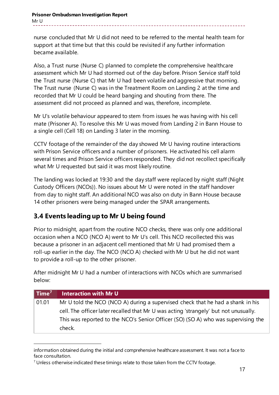nurse concluded that Mr U did not need to be referred to the mental health team for support at that time but that this could be revisited if any further information became available.

Also, a Trust nurse (Nurse C) planned to complete the comprehensive healthcare assessment which Mr U had stormed out of the day before. Prison Service staff told the Trust nurse (Nurse C) that Mr U had been volatile and aggressive that morning. The Trust nurse (Nurse C) was in the Treatment Room on Landing 2 at the time and recorded that Mr U could be heard banging and shouting from there. The assessment did not proceed as planned and was, therefore, incomplete.

Mr U's volatile behaviour appeared to stem from issues he was having with his cell mate (Prisoner A). To resolve this Mr U was moved from Landing 2 in Bann House to a single cell (Cell 18) on Landing 3 later in the morning.

CCTV footage of the remainder of the day showed Mr U having routine interactions with Prison Service officers and a number of prisoners. He activated his cell alarm several times and Prison Service officers responded. They did not recollect specifically what Mr U requested but said it was most likely routine.

The landing was locked at 19:30 and the day staff were replaced by night staff (Night Custody Officers (NCOs)). No issues about Mr U were noted in the staff handover from day to night staff. An additional NCO was also on duty in Bann House because 14 other prisoners were being managed under the SPAR arrangements.

# **3.4 Events leading up to Mr U being found**

-

Prior to midnight, apart from the routine NCO checks, there was only one additional occasion when a NCO (NCO A) went to Mr U's cell. This NCO recollected this was because a prisoner in an adjacent cell mentioned that Mr U had promised them a roll-up earlier in the day. The NCO (NCO A) checked with Mr U but he did not want to provide a roll-up to the other prisoner.

After midnight Mr U had a number of interactions with NCOs which are summarised below:

| $\mid$ Time $^7$ | Interaction with Mr U                                                                |
|------------------|--------------------------------------------------------------------------------------|
| $\vert$ 01.01    | Mr U told the NCO (NCO A) during a supervised check that he had a shank in his       |
|                  | cell. The officer later recalled that Mr U was acting 'strangely' but not unusually. |
|                  | This was reported to the NCO's Senior Officer (SO) (SO A) who was supervising the    |
|                  | check.                                                                               |

information obtained during the initial and comprehensive healthcare assessment. It was not a face to face consultation.

<span id="page-16-0"></span> $7$  Unless otherwise indicated these timings relate to those taken from the CCTV footage.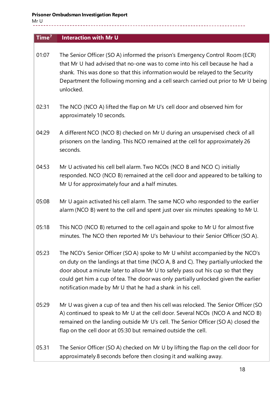Mr U

### **Time[7](#page-16-0) Interaction with Mr U**

- 01:07 The Senior Officer (SO A) informed the prison's Emergency Control Room (ECR) that Mr U had advised that no-one was to come into his cell because he had a shank. This was done so that this information would be relayed to the Security Department the following morning and a cell search carried out prior to Mr U being unlocked.
- 02:31 The NCO (NCO A) lifted the flap on Mr U's cell door and observed him for approximately 10 seconds.
- 04:29 A different NCO (NCO B) checked on Mr U during an unsupervised check of all prisoners on the landing. This NCO remained at the cell for approximately 26 seconds.
- 04:53 Mr U activated his cell bell alarm. Two NCOs (NCO B and NCO C) initially responded. NCO (NCO B) remained at the cell door and appeared to be talking to Mr U for approximately four and a half minutes.
- 05:08 Mr U again activated his cell alarm. The same NCO who responded to the earlier alarm (NCO B) went to the cell and spent just over six minutes speaking to Mr U.
- 05:18 This NCO (NCO B) returned to the cell again and spoke to Mr U for almost five minutes. The NCO then reported Mr U's behaviour to their Senior Officer (SO A).
- 05:23 The NCO's Senior Officer (SO A) spoke to Mr U whilst accompanied by the NCO's on duty on the landings at that time (NCO A, B and C). They partially unlocked the door about a minute later to allow Mr U to safely pass out his cup so that they could get him a cup of tea. The door was only partially unlocked given the earlier notification made by Mr U that he had a shank in his cell.
- 05:29 Mr U was given a cup of tea and then his cell was relocked. The Senior Officer (SO A) continued to speak to Mr U at the cell door. Several NCOs (NCO A and NCO B) remained on the landing outside Mr U's cell. The Senior Officer (SO A) closed the flap on the cell door at 05:30 but remained outside the cell.
- 05.31 The Senior Officer (SO A) checked on Mr U by lifting the flap on the cell door for approximately 8 seconds before then closing it and walking away.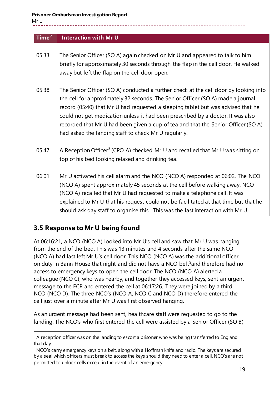Mr U

-

### **Time[7](#page-16-0) Interaction with Mr U**

- 05.33 The Senior Officer (SO A) again checked on Mr U and appeared to talk to him briefly for approximately 30 seconds through the flap in the cell door. He walked away but left the flap on the cell door open.
- 05:38 The Senior Officer (SO A) conducted a further check at the cell door by looking into the cell for approximately 32 seconds. The Senior Officer (SO A) made a journal record (05:40) that Mr U had requested a sleeping tablet but was advised that he could not get medication unless it had been prescribed by a doctor. It was also recorded that Mr U had been given a cup of tea and that the Senior Officer (SO A) had asked the landing staff to check Mr U regularly.
- 05:47 A Reception Officer<sup>[8](#page-18-0)</sup> (CPO A) checked Mr U and recalled that Mr U was sitting on top of his bed looking relaxed and drinking tea.
- 06:01 Mr U activated his cell alarm and the NCO (NCO A) responded at 06:02. The NCO (NCO A) spent approximately 45 seconds at the cell before walking away. NCO (NCO A) recalled that Mr U had requested to make a telephone call. It was explained to Mr U that his request could not be facilitated at that time but that he should ask day staff to organise this. This was the last interaction with Mr U.

### **3.5 Response to Mr U being found**

At 06:16:21, a NCO (NCO A) looked into Mr U's cell and saw that Mr U was hanging from the end of the bed. This was 13 minutes and 4 seconds after the same NCO (NCO A) had last left Mr U's cell door. This NCO (NCO A) was the additional officer on duty in Bann House that night and did not have a NCO belt<sup>[9](#page-18-1)</sup>and therefore had no access to emergency keys to open the cell door. The NCO (NCO A) alerted a colleague (NCO C), who was nearby, and together they accessed keys, sent an urgent message to the ECR and entered the cell at 06:17:26. They were joined by a third NCO (NCO D). The three NCO's (NCO A, NCO C and NCO D) therefore entered the cell just over a minute after Mr U was first observed hanging.

As an urgent message had been sent, healthcare staff were requested to go to the landing. The NCO's who first entered the cell were assisted by a Senior Officer (SO B)

<span id="page-18-0"></span> $8$  A reception officer was on the landing to escort a prisoner who was being transferred to England that day.

<span id="page-18-1"></span><sup>9</sup> NCO's carry emergency keys on a belt, along with a Hoffman knife and radio. The keys are secured by a seal which officers must break to access the keys should they need to enter a cell. NCO's are not permitted to unlock cells except in the event of an emergency.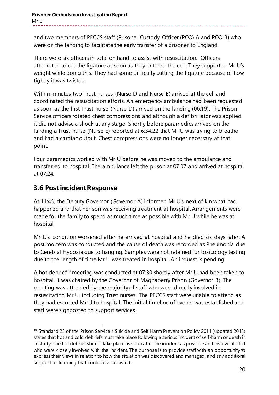and two members of PECCS staff (Prisoner Custody Officer (PCO) A and PCO B) who were on the landing to facilitate the early transfer of a prisoner to England.

There were six officers in total on hand to assist with resuscitation. Officers attempted to cut the ligature as soon as they entered the cell. They supported Mr U's weight while doing this. They had some difficulty cutting the ligature because of how tightly it was twisted.

Within minutes two Trust nurses (Nurse D and Nurse E) arrived at the cell and coordinated the resuscitation efforts. An emergency ambulance had been requested as soon as the first Trust nurse (Nurse D) arrived on the landing (06:19). The Prison Service officers rotated chest compressions and although a defibrillator was applied it did not advise a shock at any stage. Shortly before paramedics arrived on the landing a Trust nurse (Nurse E) reported at 6:34:22 that Mr U was trying to breathe and had a cardiac output. Chest compressions were no longer necessary at that point.

Four paramedics worked with Mr U before he was moved to the ambulance and transferred to hospital. The ambulance left the prison at 07:07 and arrived at hospital at 07:24.

### **3.6 Post incident Response**

-

At 11:45, the Deputy Governor (Governor A) informed Mr U's next of kin what had happened and that her son was receiving treatment at hospital. Arrangements were made for the family to spend as much time as possible with Mr U while he was at hospital.

Mr U's condition worsened after he arrived at hospital and he died six days later. A post mortem was conducted and the cause of death was recorded as Pneumonia due to Cerebral Hypoxia due to hanging. Samples were not retained for toxicology testing due to the length of time Mr U was treated in hospital. An inquest is pending.

A hot debrief<sup>[10](#page-19-0)</sup> meeting was conducted at 07:30 shortly after Mr U had been taken to hospital. It was chaired by the Governor of Maghaberry Prison (Governor B). The meeting was attended by the majority of staff who were directly involved in resuscitating Mr U, including Trust nurses. The PECCS staff were unable to attend as they had escorted Mr U to hospital. The initial timeline of events was established and staff were signposted to support services.

<span id="page-19-0"></span><sup>&</sup>lt;sup>10</sup> Standard 25 of the Prison Service's Suicide and Self Harm Prevention Policy 2011 (updated 2013) states that hot and cold debriefs must take place following a serious incident of self-harm or death in custody. The hot debrief should take place as soon after the incident as possible and involve all staff who were closely involved with the incident. The purpose is to provide staff with an opportunity to express their views in relation to how the situation was discovered and managed, and any additional support or learning that could have assisted.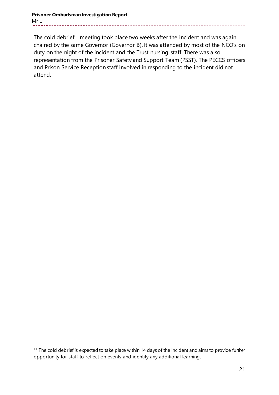#### **Prisoner Ombudsman Investigation Report** Mr U

The cold debrief<sup>[11](#page-20-0)</sup> meeting took place two weeks after the incident and was again chaired by the same Governor (Governor B). It was attended by most of the NCO's on duty on the night of the incident and the Trust nursing staff. There was also representation from the Prisoner Safety and Support Team (PSST). The PECCS officers and Prison Service Reception staff involved in responding to the incident did not attend.

<span id="page-20-0"></span><sup>&</sup>lt;sup>11</sup> The cold debrief is expected to take place within 14 days of the incident and aims to provide further opportunity for staff to reflect on events and identify any additional learning.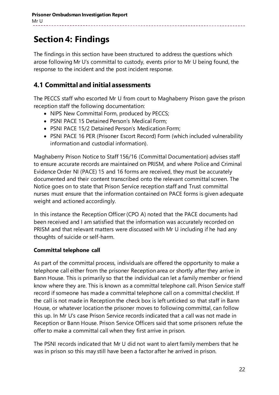# **Section 4: Findings**

The findings in this section have been structured to address the questions which arose following Mr U's committal to custody, events prior to Mr U being found, the response to the incident and the post incident response.

### **4.1 Committal and initial assessments**

The PECCS staff who escorted Mr U from court to Maghaberry Prison gave the prison reception staff the following documentation:

- NIPS New Committal Form, produced by PECCS;
- PSNI PACE 15 Detained Person's Medical Form;
- PSNI PACE 15/2 Detained Person's Medication Form;
- PSNI PACE 16 PER (Prisoner Escort Record) Form (which included vulnerability information and custodial information).

Maghaberry Prison Notice to Staff 156/16 (Committal Documentation) advises staff to ensure accurate records are maintained on PRISM, and where Police and Criminal Evidence Order NI (PACE) 15 and 16 forms are received, they must be accurately documented and their content transcribed onto the relevant committal screen. The Notice goes on to state that Prison Service reception staff and Trust committal nurses must ensure that the information contained on PACE forms is given adequate weight and actioned accordingly.

In this instance the Reception Officer (CPO A) noted that the PACE documents had been received and I am satisfied that the information was accurately recorded on PRISM and that relevant matters were discussed with Mr U including if he had any thoughts of suicide or self-harm.

### **Committal telephone call**

As part of the committal process, individuals are offered the opportunity to make a telephone call either from the prisoner Reception area or shortly after they arrive in Bann House. This is primarily so that the individual can let a family member or friend know where they are. This is known as a committal telephone call. Prison Service staff record if someone has made a committal telephone call on a committal checklist. If the call is not made in Reception the check box is left unticked so that staff in Bann House, or whatever location the prisoner moves to following committal, can follow this up. In Mr U's case Prison Service records indicated that a call was not made in Reception or Bann House. Prison Service Officers said that some prisoners refuse the offer to make a committal call when they first arrive in prison.

The PSNI records indicated that Mr U did not want to alert family members that he was in prison so this may still have been a factor after he arrived in prison.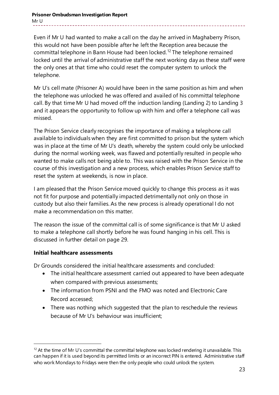**Prisoner Ombudsman Investigation Report** Mr U

Even if Mr U had wanted to make a call on the day he arrived in Maghaberry Prison, this would not have been possible after he left the Reception area because the committal telephone in Bann House had been locked. [12](#page-22-0) The telephone remained locked until the arrival of administrative staff the next working day as these staff were the only ones at that time who could reset the computer system to unlock the telephone.

Mr U's cell mate (Prisoner A) would have been in the same position as him and when the telephone was unlocked he was offered and availed of his committal telephone call. By that time Mr U had moved off the induction landing (Landing 2) to Landing 3 and it appears the opportunity to follow up with him and offer a telephone call was missed.

The Prison Service clearly recognises the importance of making a telephone call available to individuals when they are first committed to prison but the system which was in place at the time of Mr U's death, whereby the system could only be unlocked during the normal working week, was flawed and potentially resulted in people who wanted to make calls not being able to. This was raised with the Prison Service in the course of this investigation and a new process, which enables Prison Service staff to reset the system at weekends, is now in place.

I am pleased that the Prison Service moved quickly to change this process as it was not fit for purpose and potentially impacted detrimentally not only on those in custody but also their families. As the new process is already operational I do not make a recommendation on this matter.

The reason the issue of the committal call is of some significance is that Mr U asked to make a telephone call shortly before he was found hanging in his cell. This is discussed in further detail on page 29.

### **Initial healthcare assessments**

-

Dr Grounds considered the initial healthcare assessments and concluded:

- The initial healthcare assessment carried out appeared to have been adequate when compared with previous assessments;
- The information from PSNI and the FMO was noted and Electronic Care Record accessed;
- There was nothing which suggested that the plan to reschedule the reviews because of Mr U's behaviour was insufficient;

<span id="page-22-0"></span> $12$  At the time of Mr U's committal the committal telephone was locked rendering it unavailable. This can happen if it is used beyond its permitted limits or an incorrect PIN is entered. Administrative staff who work Mondays to Fridays were then the only people who could unlock the system.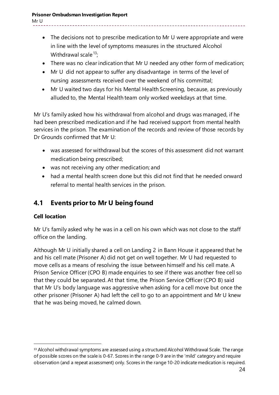Mr U

- The decisions not to prescribe medication to Mr U were appropriate and were in line with the level of symptoms measures in the structured Alcohol Withdrawal scale  $13$ :
- There was no clear indication that Mr U needed any other form of medication;
- Mr U did not appear to suffer any disadvantage in terms of the level of nursing assessments received over the weekend of his committal;
- Mr U waited two days for his Mental Health Screening, because, as previously alluded to, the Mental Health team only worked weekdays at that time.

Mr U's family asked how his withdrawal from alcohol and drugs was managed, if he had been prescribed medication and if he had received support from mental health services in the prison. The examination of the records and review of those records by Dr Grounds confirmed that Mr U:

- was assessed for withdrawal but the scores of this assessment did not warrant medication being prescribed;
- was not receiving any other medication; and
- had a mental health screen done but this did not find that he needed onward referral to mental health services in the prison.

# **4.1 Events prior to Mr U being found**

### **Cell location**

Mr U's family asked why he was in a cell on his own which was not close to the staff office on the landing.

Although Mr U initially shared a cell on Landing 2 in Bann House it appeared that he and his cell mate (Prisoner A) did not get on well together. Mr U had requested to move cells as a means of resolving the issue between himself and his cell mate. A Prison Service Officer (CPO B) made enquiries to see if there was another free cell so that they could be separated. At that time, the Prison Service Officer (CPO B) said that Mr U's body language was aggressive when asking for a cell move but once the other prisoner (Prisoner A) had left the cell to go to an appointment and Mr U knew that he was being moved, he calmed down.

<span id="page-23-0"></span><sup>&</sup>lt;sup>13</sup> Alcohol withdrawal symptoms are assessed using a structured Alcohol Withdrawal Scale. The range of possible scores on the scale is 0-67. Scores in the range 0-9 are in the 'mild' category and require observation (and a repeat assessment) only. Scores in the range 10-20 indicate medication is required.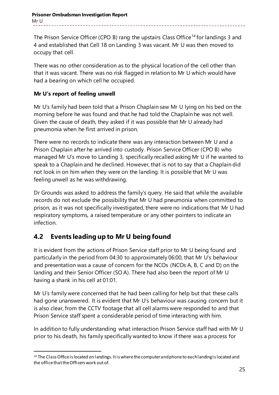The Prison Service Officer (CPO B) rang the upstairs Class Office<sup>[14](#page-24-0)</sup> for landings 3 and 4 and established that Cell 18 on Landing 3 was vacant. Mr U was then moved to occupy that cell.

There was no other consideration as to the physical location of the cell other than that it was vacant. There was no risk flagged in relation to Mr U which would have had a bearing on which cell he occupied.

### **Mr U's report of feeling unwell**

Mr U's family had been told that a Prison Chaplain saw Mr U lying on his bed on the morning before he was found and that he had told the Chaplain he was not well. Given the cause of death, they asked if it was possible that Mr U already had pneumonia when he first arrived in prison.

There were no records to indicate there was any interaction between Mr U and a Prison Chaplain after he arrived into custody. Prison Service Officer (CPO B) who managed Mr U's move to Landing 3, specifically recalled asking Mr U if he wanted to speak to a Chaplain and he declined. However, that is not to say that a Chaplain did not look in on him when they were on the landing. It is possible that Mr U was feeling unwell as he was withdrawing.

Dr Grounds was asked to address the family's query. He said that while the available records do not exclude the possibility that Mr U had pneumonia when committed to prison, as it was not specifically investigated, there were no indications that Mr U had respiratory symptoms, a raised temperature or any other pointers to indicate an infection.

# **4.2 Events leading up to Mr U being found**

It is evident from the actions of Prison Service staff prior to Mr U being found and particularly in the period from 04:30 to approximately 06:00, that Mr U's behaviour and presentation was a cause of concern for the NCOs (NCOs A, B, C and D) on the landing and their Senior Officer (SO A). There had also been the report of Mr U having a shank in his cell at 01:01.

Mr U's family were concerned that he had been calling for help but that these calls had gone unanswered. It is evident that Mr U's behaviour was causing concern but it is also clear, from the CCTV footage that all cell alarms were responded to and that Prison Service staff spent a considerable period of time interacting with him.

In addition to fully understanding what interaction Prison Service staff had with Mr U prior to his death, his family specifically wanted to know if there was a process for

<span id="page-24-0"></span><sup>&</sup>lt;sup>14</sup> The Class Office is located on landings. It is where the computer and phone to each landing is located and the office that theOfficers work out of.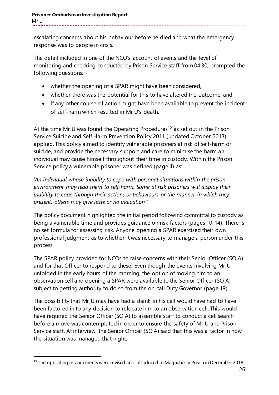escalating concerns about his behaviour before he died and what the emergency response was to people in crisis.

The detail included in one of the NCO's account of events and the level of monitoring and checking conducted by Prison Service staff from 04:30, prompted the following questions: -

- whether the opening of a SPAR might have been considered,
- whether there was the potential for this to have altered the outcome, and
- if any other course of action might have been available to prevent the incident of self-harm which resulted in Mr U's death.

At the time Mr U was found the Operating Procedures<sup>[15](#page-25-0)</sup> as set out in the Prison Service Suicide and Self Harm Prevention Policy 2011 (updated October 2013) applied. This policy aimed to identify vulnerable prisoners at risk of self-harm or suicide, and provide the necessary support and care to minimise the harm an individual may cause himself throughout their time in custody. Within the Prison Service policy a vulnerable prisoner was defined (page 4) as:

'*An individual whose inability to cope with personal situations within the prison environment may lead them to self-harm. Some at risk prisoners will display their inability to cope through their actions or behaviours or the manner in which they present, others may give little or no indication."*

The policy document highlighted the initial period following committal to custody as being a vulnerable time and provides guidance on risk factors (pages 10-14). There is no set formula for assessing risk. Anyone opening a SPAR exercised their own professional judgment as to whether it was necessary to manage a person under this process.

The SPAR policy provided for NCOs to raise concerns with their Senior Officer (SO A) and for that Officer to respond to these. Even though the events involving Mr U unfolded in the early hours of the morning, the option of moving him to an observation cell and opening a SPAR were available to the Senior Officer (SO A) subject to getting authority to do so from the on call Duty Governor (page 19).

The possibility that Mr U may have had a shank in his cell would have had to have been factored in to any decision to relocate him to an observation cell. This would have required the Senior Officer (SO A) to assemble staff to conduct a cell search before a move was contemplated in order to ensure the safety of Mr U and Prison Service staff. At interview, the Senior Officer (SO A) said that this was a factor in how the situation was managed that night.

<span id="page-25-0"></span><sup>-</sup><sup>15</sup> The operating arrangements were revised and introduced to Maghaberry Prison in December 2018.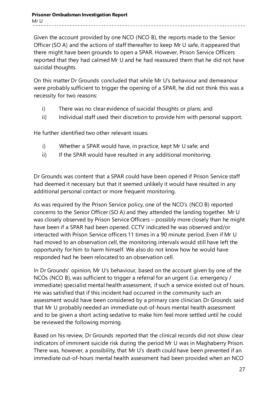#### **Prisoner Ombudsman Investigation Report** Mr U

Given the account provided by one NCO (NCO B), the reports made to the Senior Officer (SO A) and the actions of staff thereafter to keep Mr U safe, it appeared that there might have been grounds to open a SPAR. However, Prison Service Officers reported that they had calmed Mr U and he had reassured them that he did not have suicidal thoughts.

On this matter Dr Grounds concluded that while Mr U's behaviour and demeanour were probably sufficient to trigger the opening of a SPAR, he did not think this was a necessity for two reasons:

- i) There was no clear evidence of suicidal thoughts or plans; and
- ii) Individual staff used their discretion to provide him with personal support.

He further identified two other relevant issues:

- i) Whether a SPAR would have, in practice, kept Mr U safe; and
- ii) If the SPAR would have resulted in any additional monitoring.

Dr Grounds was content that a SPAR could have been opened if Prison Service staff had deemed it necessary but that it seemed unlikely it would have resulted in any additional personal contact or more frequent monitoring.

As was required by the Prison Service policy, one of the NCO's (NCO B) reported concerns to the Senior Officer (SO A) and they attended the landing together. Mr U was closely observed by Prison Service Officers – possibly more closely than he might have been if a SPAR had been opened. CCTV indicated he was observed and/or interacted with Prison Service officers 11 times in a 90 minute period. Even if Mr U had moved to an observation cell, the monitoring intervals would still have left the opportunity for him to harm himself. We also do not know how he would have responded had he been relocated to an observation cell.

In Dr Grounds' opinion, Mr U's behaviour, based on the account given by one of the NCOs (NCO B), was sufficient to trigger a referral for an urgent (i.e. emergency / immediate) specialist mental health assessment, if such a service existed out of hours. He was satisfied that if this incident had occurred in the community such an assessment would have been considered by a primary care clinician. Dr Grounds said that Mr U probably needed an immediate out-of-hours mental health assessment and to be given a short acting sedative to make him feel more settled until he could be reviewed the following morning.

Based on his review, Dr Grounds reported that the clinical records did not show clear indicators of imminent suicide risk during the period Mr U was in Maghaberry Prison. There was, however, a possibility, that Mr U's death could have been prevented if an immediate out-of-hours mental health assessment had been provided when an NCO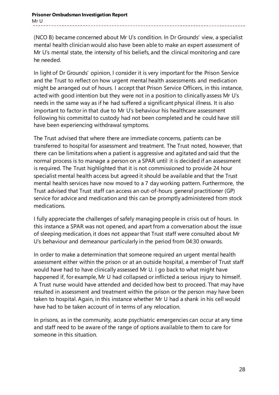#### **Prisoner Ombudsman Investigation Report** Mr U

(NCO B) became concerned about Mr U's condition. In Dr Grounds' view, a specialist mental health clinician would also have been able to make an expert assessment of Mr U's mental state, the intensity of his beliefs, and the clinical monitoring and care he needed.

In light of Dr Grounds' opinion, I consider it is very important for the Prison Service and the Trust to reflect on how urgent mental health assessments and medication might be arranged out of hours. I accept that Prison Service Officers, in this instance, acted with good intention but they were not in a position to clinically assess Mr U's needs in the same way as if he had suffered a significant physical illness. It is also important to factor in that due to Mr U's behaviour his healthcare assessment following his committal to custody had not been completed and he could have still have been experiencing withdrawal symptoms.

The Trust advised that where there are immediate concerns, patients can be transferred to hospital for assessment and treatment. The Trust noted, however, that there can be limitations when a patient is aggressive and agitated and said that the normal process is to manage a person on a SPAR until it is decided if an assessment is required. The Trust highlighted that it is not commissioned to provide 24 hour specialist mental health access but agreed it should be available and that the Trust mental health services have now moved to a 7 day working pattern. Furthermore, the Trust advised that Trust staff can access an out-of-hours general practitioner (GP) service for advice and medication and this can be promptly administered from stock medications.

I fully appreciate the challenges of safely managing people in crisis out of hours. In this instance a SPAR was not opened, and apart from a conversation about the issue of sleeping medication, it does not appear that Trust staff were consulted about Mr U's behaviour and demeanour particularly in the period from 04:30 onwards.

In order to make a determination that someone required an urgent mental health assessment either within the prison or at an outside hospital, a member of Trust staff would have had to have clinically assessed Mr U. I go back to what might have happened if, for example, Mr U had collapsed or inflicted a serious injury to himself. A Trust nurse would have attended and decided how best to proceed. That may have resulted in assessment and treatment within the prison or the person may have been taken to hospital. Again, in this instance whether Mr U had a shank in his cell would have had to be taken account of in terms of any relocation.

In prisons, as in the community, acute psychiatric emergencies can occur at any time and staff need to be aware of the range of options available to them to care for someone in this situation.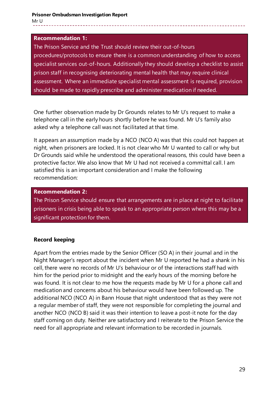#### **Recommendation 1:**

The Prison Service and the Trust should review their out-of-hours procedures/protocols to ensure there is a common understanding of how to access specialist services out-of-hours. Additionally they should develop a checklist to assist prison staff in recognising deteriorating mental health that may require clinical assessment. Where an immediate specialist mental assessment is required, provision should be made to rapidly prescribe and administer medication if needed.

One further observation made by Dr Grounds relates to Mr U's request to make a telephone call in the early hours shortly before he was found. Mr U's family also asked why a telephone call was not facilitated at that time.

It appears an assumption made by a NCO (NCO A) was that this could not happen at night, when prisoners are locked. It is not clear who Mr U wanted to call or why but Dr Grounds said while he understood the operational reasons, this could have been a protective factor. We also know that Mr U had not received a committal call. I am satisfied this is an important consideration and I make the following recommendation:

#### **Recommendation 2:**

The Prison Service should ensure that arrangements are in place at night to facilitate prisoners in crisis being able to speak to an appropriate person where this may be a significant protection for them.

### **Record keeping**

Apart from the entries made by the Senior Officer (SO A) in their journal and in the Night Manager's report about the incident when Mr U reported he had a shank in his cell, there were no records of Mr U's behaviour or of the interactions staff had with him for the period prior to midnight and the early hours of the morning before he was found. It is not clear to me how the requests made by Mr U for a phone call and medication and concerns about his behaviour would have been followed up. The additional NCO (NCO A) in Bann House that night understood that as they were not a regular member of staff, they were not responsible for completing the journal and another NCO (NCO B) said it was their intention to leave a post-it note for the day staff coming on duty. Neither are satisfactory and I reiterate to the Prison Service the need for all appropriate and relevant information to be recorded in journals.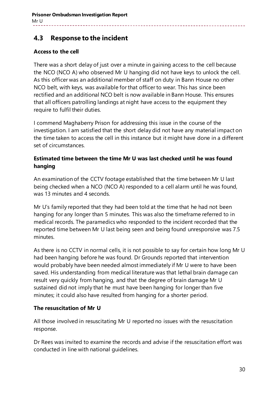### **4.3 Response to the incident**

### **Access to the cell**

There was a short delay of just over a minute in gaining access to the cell because the NCO (NCO A) who observed Mr U hanging did not have keys to unlock the cell. As this officer was an additional member of staff on duty in Bann House no other NCO belt, with keys, was available for that officer to wear. This has since been rectified and an additional NCO belt is now available in Bann House. This ensures that all officers patrolling landings at night have access to the equipment they require to fulfil their duties.

I commend Maghaberry Prison for addressing this issue in the course of the investigation. I am satisfied that the short delay did not have any material impact on the time taken to access the cell in this instance but it might have done in a different set of circumstances.

### **Estimated time between the time Mr U was last checked until he was found hanging**

An examination of the CCTV footage established that the time between Mr U last being checked when a NCO (NCO A) responded to a cell alarm until he was found, was 13 minutes and 4 seconds.

Mr U's family reported that they had been told at the time that he had not been hanging for any longer than 5 minutes. This was also the timeframe referred to in medical records. The paramedics who responded to the incident recorded that the reported time between Mr U last being seen and being found unresponsive was 7.5 minutes.

As there is no CCTV in normal cells, it is not possible to say for certain how long Mr U had been hanging before he was found. Dr Grounds reported that intervention would probably have been needed almost immediately if Mr U were to have been saved. His understanding from medical literature was that lethal brain damage can result very quickly from hanging, and that the degree of brain damage Mr U sustained did not imply that he must have been hanging for longer than five minutes; it could also have resulted from hanging for a shorter period.

### **The resuscitation of Mr U**

All those involved in resuscitating Mr U reported no issues with the resuscitation response.

Dr Rees was invited to examine the records and advise if the resuscitation effort was conducted in line with national guidelines.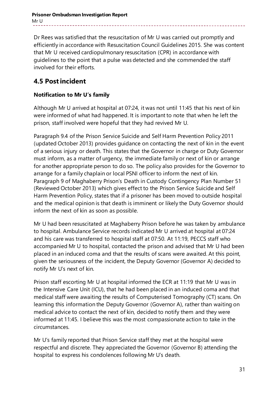Dr Rees was satisfied that the resuscitation of Mr U was carried out promptly and efficiently in accordance with Resuscitation Council Guidelines 2015. She was content that Mr U received cardiopulmonary resuscitation (CPR) in accordance with guidelines to the point that a pulse was detected and she commended the staff involved for their efforts.

## **4.5 Post incident**

### **Notification to Mr U's family**

Although Mr U arrived at hospital at 07:24, it was not until 11:45 that his next of kin were informed of what had happened. It is important to note that when he left the prison, staff involved were hopeful that they had revived Mr U.

Paragraph 9.4 of the Prison Service Suicide and Self Harm Prevention Policy 2011 (updated October 2013) provides guidance on contacting the next of kin in the event of a serious injury or death. This states that the Governor in charge or Duty Governor must inform, as a matter of urgency, the immediate family or next of kin or arrange for another appropriate person to do so. The policy also provides for the Governor to arrange for a family chaplain or local PSNI officer to inform the next of kin. Paragraph 9 of Maghaberry Prison's Death in Custody Contingency Plan Number 51 (Reviewed October 2013) which gives effect to the Prison Service Suicide and Self Harm Prevention Policy, states that if a prisoner has been moved to outside hospital and the medical opinion is that death is imminent or likely the Duty Governor should inform the next of kin as soon as possible.

Mr U had been resuscitated at Maghaberry Prison before he was taken by ambulance to hospital. Ambulance Service records indicated Mr U arrived at hospital at 07:24 and his care was transferred to hospital staff at 07:50. At 11:19, PECCS staff who accompanied Mr U to hospital, contacted the prison and advised that Mr U had been placed in an induced coma and that the results of scans were awaited. At this point, given the seriousness of the incident, the Deputy Governor (Governor A) decided to notify Mr U's next of kin.

Prison staff escorting Mr U at hospital informed the ECR at 11:19 that Mr U was in the Intensive Care Unit (ICU), that he had been placed in an induced coma and that medical staff were awaiting the results of Computerised Tomography (CT) scans. On learning this information the Deputy Governor (Governor A), rather than waiting on medical advice to contact the next of kin, decided to notify them and they were informed at 11:45. I believe this was the most compassionate action to take in the circumstances.

Mr U's family reported that Prison Service staff they met at the hospital were respectful and discrete. They appreciated the Governor (Governor B) attending the hospital to express his condolences following Mr U's death.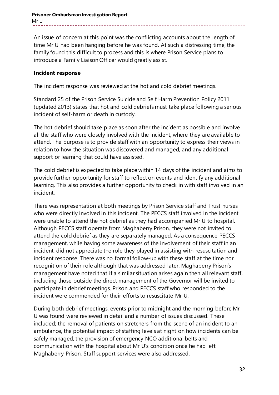An issue of concern at this point was the conflicting accounts about the length of time Mr U had been hanging before he was found. At such a distressing time, the family found this difficult to process and this is where Prison Service plans to introduce a Family Liaison Officer would greatly assist.

### **Incident response**

The incident response was reviewed at the hot and cold debrief meetings.

Standard 25 of the Prison Service Suicide and Self Harm Prevention Policy 2011 (updated 2013) states that hot and cold debriefs must take place following a serious incident of self-harm or death in custody.

The hot debrief should take place as soon after the incident as possible and involve all the staff who were closely involved with the incident, where they are available to attend. The purpose is to provide staff with an opportunity to express their views in relation to how the situation was discovered and managed, and any additional support or learning that could have assisted.

The cold debrief is expected to take place within 14 days of the incident and aims to provide further opportunity for staff to reflect on events and identify any additional learning. This also provides a further opportunity to check in with staff involved in an incident.

There was representation at both meetings by Prison Service staff and Trust nurses who were directly involved in this incident. The PECCS staff involved in the incident were unable to attend the hot debrief as they had accompanied Mr U to hospital. Although PECCS staff operate from Maghaberry Prison, they were not invited to attend the cold debrief as they are separately managed. As a consequence PECCS management, while having some awareness of the involvement of their staff in an incident, did not appreciate the role they played in assisting with resuscitation and incident response. There was no formal follow-up with these staff at the time nor recognition of their role although that was addressed later. Maghaberry Prison's management have noted that if a similar situation arises again then all relevant staff, including those outside the direct management of the Governor will be invited to participate in debrief meetings. Prison and PECCS staff who responded to the incident were commended for their efforts to resuscitate Mr U.

During both debrief meetings, events prior to midnight and the morning before Mr U was found were reviewed in detail and a number of issues discussed. These included; the removal of patients on stretchers from the scene of an incident to an ambulance, the potential impact of staffing levels at night on how incidents can be safely managed, the provision of emergency NCO additional belts and communication with the hospital about Mr U's condition once he had left Maghaberry Prison. Staff support services were also addressed.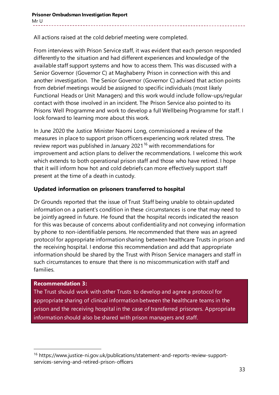All actions raised at the cold debrief meeting were completed.

From interviews with Prison Service staff, it was evident that each person responded differently to the situation and had different experiences and knowledge of the available staff support systems and how to access them. This was discussed with a Senior Governor (Governor C) at Maghaberry Prison in connection with this and another investigation. The Senior Governor (Governor C) advised that action points from debrief meetings would be assigned to specific individuals (most likely Functional Heads or Unit Managers) and this work would include follow-ups/regular contact with those involved in an incident. The Prison Service also pointed to its Prisons Well Programme and work to develop a full Wellbeing Programme for staff. I look forward to learning more about this work.

In June 2020 the Justice Minister Naomi Long, commissioned a review of the measures in place to support prison officers experiencing work related stress. The review report was published in January 2021<sup>[16](#page-32-0)</sup> with recommendations for improvement and action plans to deliver the recommendations. I welcome this work which extends to both operational prison staff and those who have retired. I hope that it will inform how hot and cold debriefs can more effectively support staff present at the time of a death in custody.

### **Updated information on prisoners transferred to hospital**

Dr Grounds reported that the issue of Trust Staff being unable to obtain updated information on a patient's condition in these circumstances is one that may need to be jointly agreed in future. He found that the hospital records indicated the reason for this was because of concerns about confidentiality and not conveying information by phone to non-identifiable persons. He recommended that there was an agreed protocol for appropriate information sharing between healthcare Trusts in prison and the receiving hospital. I endorse this recommendation and add that appropriate information should be shared by the Trust with Prison Service managers and staff in such circumstances to ensure that there is no miscommunication with staff and families.

### **Recommendation 3:**

-

The Trust should work with other Trusts to develop and agree a protocol for appropriate sharing of clinical information between the healthcare teams in the prison and the receiving hospital in the case of transferred prisoners. Appropriate information should also be shared with prison managers and staff.

<span id="page-32-0"></span><sup>16</sup> https://www.justice-ni.gov.uk/publications/statement-and-reports-review-supportservices-serving-and-retired-prison-officers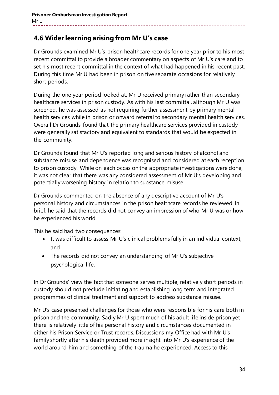### **4.6 Wider learning arising from Mr U's case**

Dr Grounds examined Mr U's prison healthcare records for one year prior to his most recent committal to provide a broader commentary on aspects of Mr U's care and to set his most recent committal in the context of what had happened in his recent past. During this time Mr U had been in prison on five separate occasions for relatively short periods.

During the one year period looked at, Mr U received primary rather than secondary healthcare services in prison custody. As with his last committal, although Mr U was screened, he was assessed as not requiring further assessment by primary mental health services while in prison or onward referral to secondary mental health services. Overall Dr Grounds found that the primary healthcare services provided in custody were generally satisfactory and equivalent to standards that would be expected in the community.

Dr Grounds found that Mr U's reported long and serious history of alcohol and substance misuse and dependence was recognised and considered at each reception to prison custody. While on each occasion the appropriate investigations were done, it was not clear that there was any considered assessment of Mr U's developing and potentially worsening history in relation to substance misuse.

Dr Grounds commented on the absence of any descriptive account of Mr U's personal history and circumstances in the prison healthcare records he reviewed. In brief, he said that the records did not convey an impression of who Mr U was or how he experienced his world.

This he said had two consequences:

- It was difficult to assess Mr U's clinical problems fully in an individual context; and
- The records did not convey an understanding of Mr U's subjective psychological life.

In Dr Grounds' view the fact that someone serves multiple, relatively short periods in custody should not preclude initiating and establishing long term and integrated programmes of clinical treatment and support to address substance misuse.

Mr U's case presented challenges for those who were responsible for his care both in prison and the community. Sadly Mr U spent much of his adult life inside prison yet there is relatively little of his personal history and circumstances documented in either his Prison Service or Trust records. Discussions my Office had with Mr U's family shortly after his death provided more insight into Mr U's experience of the world around him and something of the trauma he experienced. Access to this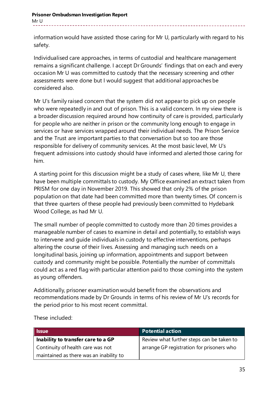information would have assisted those caring for Mr U, particularly with regard to his safety.

Individualised care approaches, in terms of custodial and healthcare management remains a significant challenge. I accept Dr Grounds' findings that on each and every occasion Mr U was committed to custody that the necessary screening and other assessments were done but I would suggest that additional approaches be considered also.

Mr U's family raised concern that the system did not appear to pick up on people who were repeatedly in and out of prison. This is a valid concern. In my view there is a broader discussion required around how continuity of care is provided, particularly for people who are neither in prison or the community long enough to engage in services or have services wrapped around their individual needs. The Prison Service and the Trust are important parties to that conversation but so too are those responsible for delivery of community services. At the most basic level, Mr U's frequent admissions into custody should have informed and alerted those caring for him.

A starting point for this discussion might be a study of cases where, like Mr U, there have been multiple committals to custody. My Office examined an extract taken from PRISM for one day in November 2019. This showed that only 2% of the prison population on that date had been committed more than twenty times. Of concern is that three quarters of these people had previously been committed to Hydebank Wood College, as had Mr U.

The small number of people committed to custody more than 20 times provides a manageable number of cases to examine in detail and potentially, to establish ways to intervene and guide individuals in custody to effective interventions, perhaps altering the course of their lives. Assessing and managing such needs on a longitudinal basis, joining up information, appointments and support between custody and community might be possible. Potentially the number of committals could act as a red flag with particular attention paid to those coming into the system as young offenders.

Additionally, prisoner examination would benefit from the observations and recommendations made by Dr Grounds in terms of his review of Mr U's records for the period prior to his most recent committal.

| <b>Issue</b>                            | <b>Potential action</b>                   |
|-----------------------------------------|-------------------------------------------|
| Inability to transfer care to a GP      | Review what further steps can be taken to |
| Continuity of health care was not       | arrange GP registration for prisoners who |
| maintained as there was an inability to |                                           |

These included: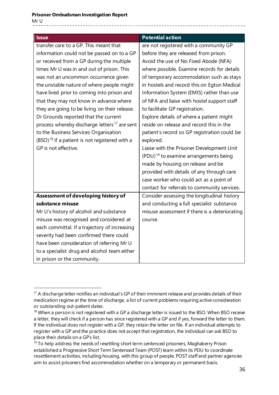-

| <b>Issue</b>                                             | <b>Potential action</b>                           |
|----------------------------------------------------------|---------------------------------------------------|
| transfer care to a GP. This meant that                   | are not registered with a community GP            |
| information could not be passed on to a GP               | before they are released from prison.             |
| or received from a GP during the multiple                | Avoid the use of No Fixed Abode (NFA)             |
| times Mr U was in and out of prison. This                | where possible. Examine records for details       |
| was not an uncommon occurrence given                     | of temporary accommodation such as stays          |
| the unstable nature of where people might                | in hostels and record this on Egton Medical       |
| have lived prior to coming into prison and               | Information System (EMIS) rather than use         |
| that they may not know in advance where                  | of NFA and liaise with hostel support staff       |
| they are going to be living on their release.            | to facilitate GP registration.                    |
| Dr Grounds reported that the current                     | Explore details of where a patient might          |
| process whereby discharge letters <sup>17</sup> are sent | reside on release and record this in the          |
| to the Business Services Organisation                    | patient's record so GP registration could be      |
| $(BSO)^{18}$ if a patient is not registered with a       | explored.                                         |
| GP is not effective.                                     | Liaise with the Prisoner Development Unit         |
|                                                          | (PDU) <sup>19</sup> to examine arrangements being |
|                                                          | made by housing on release and be                 |
|                                                          | provided with details of any through care         |
|                                                          | case worker who could act as a point of           |
|                                                          | contact for referrals to community services.      |
| Assessment of developing history of                      | Consider assessing the longitudinal history       |
| substance misuse                                         | and conducting a full specialist substance        |
| Mr U's history of alcohol and substance                  | misuse assessment if there is a deteriorating     |
| misuse was recognised and considered at                  | course.                                           |
| each committal. If a trajectory of increasing            |                                                   |
| severity had been confirmed there could                  |                                                   |
| have been consideration of referring Mr U                |                                                   |
| to a specialist drug and alcohol team either             |                                                   |
| in prison or the community.                              |                                                   |

<span id="page-35-0"></span><sup>&</sup>lt;sup>17</sup> A discharge letter notifies an individual's GP of their imminent release and provides details of their medication regime at the time of discharge, a list of current problems requiring active consideration or outstanding out-patient dates.

<span id="page-35-1"></span><sup>&</sup>lt;sup>18</sup> When a person is not registered with a GP a discharge letter is issued to the BSO. When BSO receive a letter, they will check if a person has since registered with a GP and if yes, forward the letter to them. If the individual does not register with a GP, they retain the letter on file. If an individual attempts to register with a GP and the practice does not accept that registration, the individual can ask BSO to place their details on a GP's list.

<span id="page-35-2"></span> $19$  To help address the needs of resettling short term sentenced prisoners, Maghaberry Prison established a Progressive Short Term Sentenced Team (POST) team within its PDU to coordinate resettlement activities, including housing, with this group of people. POST staff and partner agencies aim to assist prisoners find accommodation whether on a temporary or permanent basis.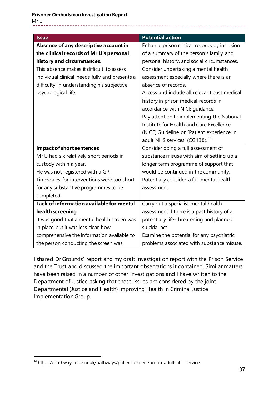| <b>Issue</b>                                   | <b>Potential action</b>                      |
|------------------------------------------------|----------------------------------------------|
| Absence of any descriptive account in          | Enhance prison clinical records by inclusion |
| the clinical records of Mr U's personal        | of a summary of the person's family and      |
| history and circumstances.                     | personal history, and social circumstances.  |
| This absence makes it difficult to assess      | Consider undertaking a mental health         |
| individual clinical needs fully and presents a | assessment especially where there is an      |
| difficulty in understanding his subjective     | absence of records.                          |
| psychological life.                            | Access and include all relevant past medical |
|                                                | history in prison medical records in         |
|                                                | accordance with NICE guidance.               |
|                                                | Pay attention to implementing the National   |
|                                                | Institute for Health and Care Excellence     |
|                                                | (NICE) Guideline on 'Patient experience in   |
|                                                | adult NHS services' (CG138). <sup>20</sup>   |
| <b>Impact of short sentences</b>               | Consider doing a full assessment of          |
| Mr U had six relatively short periods in       | substance misuse with aim of setting up a    |
| custody within a year.                         | longer term programme of support that        |
| He was not registered with a GP.               | would be continued in the community.         |
| Timescales for interventions were too short    | Potentially consider a full mental health    |
| for any substantive programmes to be           | assessment.                                  |
| completed.                                     |                                              |
| Lack of information available for mental       | Carry out a specialist mental health         |
| health screening                               | assessment if there is a past history of a   |
| It was good that a mental health screen was    | potentially life-threatening and planned     |
| in place but it was less clear how             | suicidal act.                                |
| comprehensive the information available to     | Examine the potential for any psychiatric    |
| the person conducting the screen was.          | problems associated with substance misuse.   |

I shared Dr Grounds' report and my draft investigation report with the Prison Service and the Trust and discussed the important observations it contained. Similar matters have been raised in a number of other investigations and I have written to the Department of Justice asking that these issues are considered by the joint Departmental (Justice and Health) Improving Health in Criminal Justice Implementation Group.

-

<span id="page-36-0"></span><sup>&</sup>lt;sup>20</sup> https://pathways.nice.or.uk/pathways/patient-experience-in-adult-nhs-services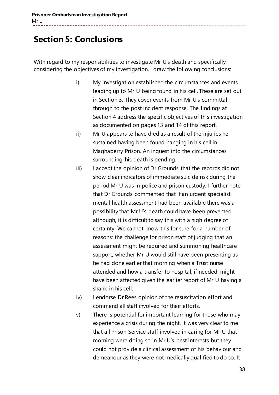# **Section 5: Conclusions**

With regard to my responsibilities to investigate Mr U's death and specifically considering the objectives of my investigation, I draw the following conclusions:

- i) My investigation established the circumstances and events leading up to Mr U being found in his cell. These are set out in Section 3. They cover events from Mr U's committal through to the post incident response. The findings at Section 4 address the specific objectives of this investigation as documented on pages 13 and 14 of this report.
- ii) Mr U appears to have died as a result of the injuries he sustained having been found hanging in his cell in Maghaberry Prison. An inquest into the circumstances surrounding his death is pending.
- iii) I accept the opinion of Dr Grounds that the records did not show clear indicators of immediate suicide risk during the period Mr U was in police and prison custody. I further note that Dr Grounds commented that if an urgent specialist mental health assessment had been available there was a possibility that Mr U's death could have been prevented although, it is difficult to say this with a high degree of certainty. We cannot know this for sure for a number of reasons: the challenge for prison staff of judging that an assessment might be required and summoning healthcare support, whether Mr U would still have been presenting as he had done earlier that morning when a Trust nurse attended and how a transfer to hospital, if needed, might have been affected given the earlier report of Mr U having a shank in his cell.
- iv) I endorse Dr Rees opinion of the resuscitation effort and commend all staff involved for their efforts.
- v) There is potential for important learning for those who may experience a crisis during the night. It was very clear to me that all Prison Service staff involved in caring for Mr U that morning were doing so in Mr U's best interests but they could not provide a clinical assessment of his behaviour and demeanour as they were not medically qualified to do so. It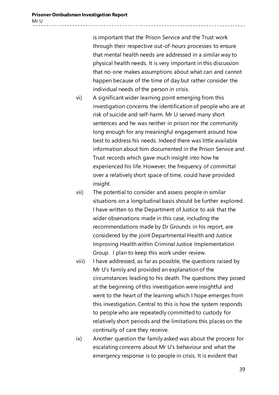is important that the Prison Service and the Trust work through their respective out-of-hours processes to ensure that mental health needs are addressed in a similar way to physical health needs. It is very important in this discussion that no-one makes assumptions about what can and cannot happen because of the time of day but rather consider the individual needs of the person in crisis.

- vi) A significant wider learning point emerging from this investigation concerns the identification of people who are at risk of suicide and self-harm. Mr U served many short sentences and he was neither in prison nor the community long enough for any meaningful engagement around how best to address his needs. Indeed there was little available information about him documented in the Prison Service and Trust records which gave much insight into how he experienced his life. However, the frequency of committal over a relatively short space of time, could have provided insight.
- vii) The potential to consider and assess people in similar situations on a longitudinal basis should be further explored. I have written to the Department of Justice to ask that the wider observations made in this case, including the recommendations made by Dr Grounds in his report, are considered by the joint Departmental Health and Justice Improving Health within Criminal Justice Implementation Group. I plan to keep this work under review.
- viii) I have addressed, as far as possible, the questions raised by Mr U's family and provided an explanation of the circumstances leading to his death. The questions they posed at the beginning of this investigation were insightful and went to the heart of the learning which I hope emerges from this investigation. Central to this is how the system responds to people who are repeatedly committed to custody for relatively short periods and the limitations this places on the continuity of care they receive.
- ix) Another question the family asked was about the process for escalating concerns about Mr U's behaviour and what the emergency response is to people in crisis. It is evident that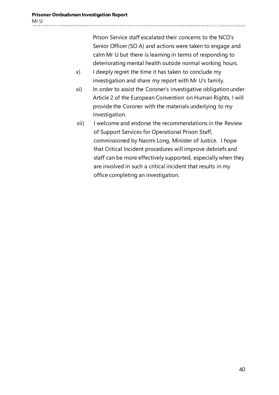Prison Service staff escalated their concerns to the NCO's Senior Officer (SO A) and actions were taken to engage and calm Mr U but there is learning in terms of responding to deteriorating mental health outside normal working hours.

- x) I deeply regret the time it has taken to conclude my investigation and share my report with Mr U's family.
- xi) In order to assist the Coroner's investigative obligation under Article 2 of the European Convention on Human Rights, I will provide the Coroner with the materials underlying to my investigation.
- xii) I welcome and endorse the recommendations in the Review of Support Services for Operational Prison Staff, commissioned by Naomi Long, Minister of Justice. I hope that Critical Incident procedures will improve debriefs and staff can be more effectively supported, especially when they are involved in such a critical incident that results in my office completing an investigation.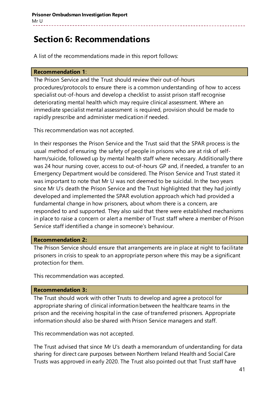# **Section 6: Recommendations**

A list of the recommendations made in this report follows:

#### **Recommendation 1**:

The Prison Service and the Trust should review their out-of-hours procedures/protocols to ensure there is a common understanding of how to access specialist out-of-hours and develop a checklist to assist prison staff recognise deteriorating mental health which may require clinical assessment. Where an immediate specialist mental assessment is required, provision should be made to rapidly prescribe and administer medication if needed.

This recommendation was not accepted.

In their responses the Prison Service and the Trust said that the SPAR process is the usual method of ensuring the safety of people in prisons who are at risk of selfharm/suicide, followed up by mental health staff where necessary. Additionally there was 24 hour nursing cover, access to out-of-hours GP and, if needed, a transfer to an Emergency Department would be considered. The Prison Service and Trust stated it was important to note that Mr U was not deemed to be suicidal. In the two years since Mr U's death the Prison Service and the Trust highlighted that they had jointly developed and implemented the SPAR evolution approach which had provided a fundamental change in how prisoners, about whom there is a concern, are responded to and supported. They also said that there were established mechanisms in place to raise a concern or alert a member of Trust staff where a member of Prison Service staff identified a change in someone's behaviour.

#### **Recommendation 2:**

The Prison Service should ensure that arrangements are in place at night to facilitate prisoners in crisis to speak to an appropriate person where this may be a significant protection for them.

This recommendation was accepted.

#### **Recommendation 3:**

The Trust should work with other Trusts to develop and agree a protocol for appropriate sharing of clinical information between the healthcare teams in the prison and the receiving hospital in the case of transferred prisoners. Appropriate information should also be shared with Prison Service managers and staff.

This recommendation was not accepted.

The Trust advised that since Mr U's death a memorandum of understanding for data sharing for direct care purposes between Northern Ireland Health and Social Care Trusts was approved in early 2020. The Trust also pointed out that Trust staff have